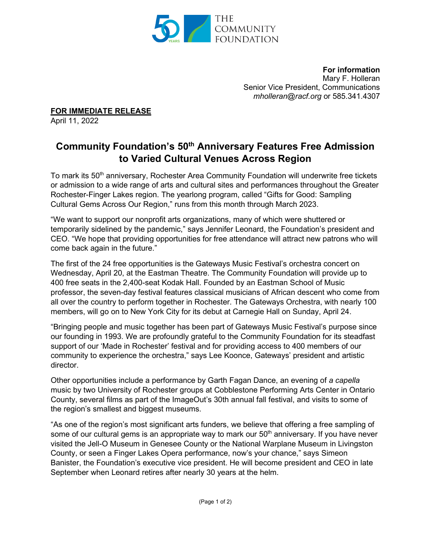

**For information** Mary F. Holleran Senior Vice President, Communications *[mholleran@racf.org](mailto:mholleran@racf.org)* or 585.341.4307

**FOR IMMEDIATE RELEASE**

April 11, 2022

## **Community Foundation's 50th Anniversary Features Free Admission to Varied Cultural Venues Across Region**

To mark its 50<sup>th</sup> anniversary, Rochester Area Community Foundation will underwrite free tickets or admission to a wide range of arts and cultural sites and performances throughout the Greater Rochester-Finger Lakes region. The yearlong program, called "Gifts for Good: Sampling Cultural Gems Across Our Region," runs from this month through March 2023.

"We want to support our nonprofit arts organizations, many of which were shuttered or temporarily sidelined by the pandemic," says Jennifer Leonard, the Foundation's president and CEO. "We hope that providing opportunities for free attendance will attract new patrons who will come back again in the future."

The first of the 24 free opportunities is the Gateways Music Festival's orchestra concert on Wednesday, April 20, at the Eastman Theatre. The Community Foundation will provide up to 400 free seats in the 2,400-seat Kodak Hall. Founded by an Eastman School of Music professor, the seven-day festival features classical musicians of African descent who come from all over the country to perform together in Rochester. The Gateways Orchestra, with nearly 100 members, will go on to New York City for its debut at Carnegie Hall on Sunday, April 24.

"Bringing people and music together has been part of Gateways Music Festival's purpose since our founding in 1993. We are profoundly grateful to the Community Foundation for its steadfast support of our 'Made in Rochester' festival and for providing access to 400 members of our community to experience the orchestra," says Lee Koonce, Gateways' president and artistic director.

Other opportunities include a performance by Garth Fagan Dance, an evening of *a capella* music by two University of Rochester groups at Cobblestone Performing Arts Center in Ontario County, several films as part of the ImageOut's 30th annual fall festival, and visits to some of the region's smallest and biggest museums.

"As one of the region's most significant arts funders, we believe that offering a free sampling of some of our cultural gems is an appropriate way to mark our  $50<sup>th</sup>$  anniversary. If you have never visited the Jell-O Museum in Genesee County or the National Warplane Museum in Livingston County, or seen a Finger Lakes Opera performance, now's your chance," says Simeon Banister, the Foundation's executive vice president. He will become president and CEO in late September when Leonard retires after nearly 30 years at the helm.